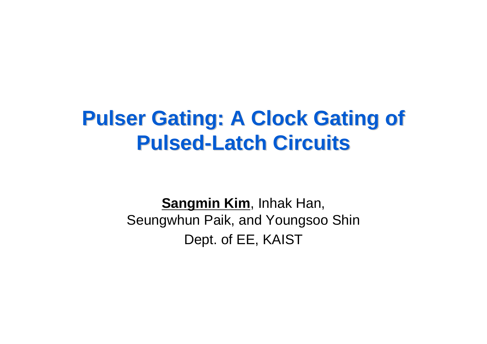#### **Pulser Gating: A Clock Gating of Pulser Gating: A Clock Gating of Pulsed-Latch Circuits**

**Sangmin Kim**, Inhak Han, Seungwhun Paik, and Youngsoo Shin Dept. of EE, KAIST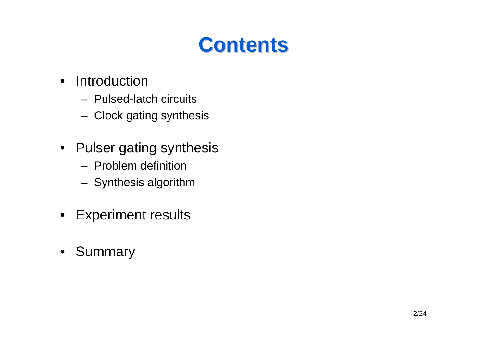#### **Contents Contents**

- $\bullet$  Introduction
	- Pulsed-latch circuits
	- Clock gating synthesis
- Pulser gating synthesis
	- Problem definition
	- Synthesis algorithm
- $\bullet$ Experiment results
- $\bullet$ Summary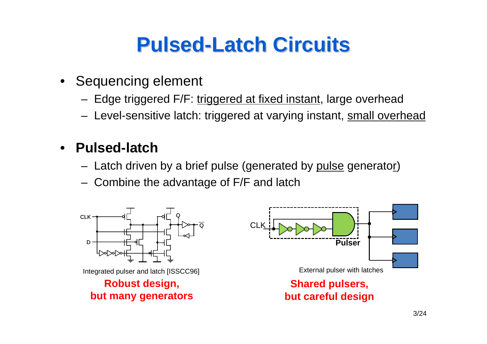## **Pulsed-Latch Circuits Latch Circuits**

- Sequencing element
	- Edge triggered F/F: triggered at fixed instant, large overhead
	- Level-sensitive latch: triggered at varying instant, <u>small overhead</u>

#### •**Pulsed-latch**

- Latch driven by a brief pulse (generated by <u>pulse</u> generato<u>r</u>)
- Combine the advantage of F/F and latch

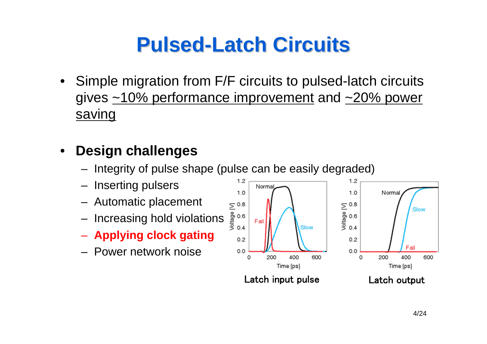# **Pulsed-Latch Circuits Latch Circuits**

• Simple migration from F/F circuits to pulsed-latch circuits gives  $\sim$ 10% performance improvement and  $\sim$ 20% power saving

#### $\bullet$ **Design challenges**

- Integrity of pulse shape (pulse can be easily degraded)
- Inserting pulsers
- Automatic placement
- Increasing hold violations
- **Applying clock gating**
- Power network noise

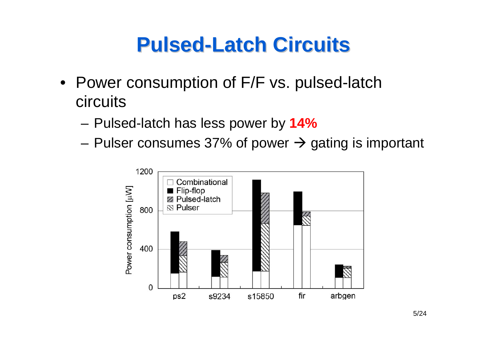#### **Pulsed-Latch Circuits Latch Circuits**

- Power consumption of F/F vs. pulsed-latch circuits
	- and the state of the Pulsed-latch has less power by **14%**
	- and the state of the Pulser consumes 37% of power  $\rightarrow$  gating is important

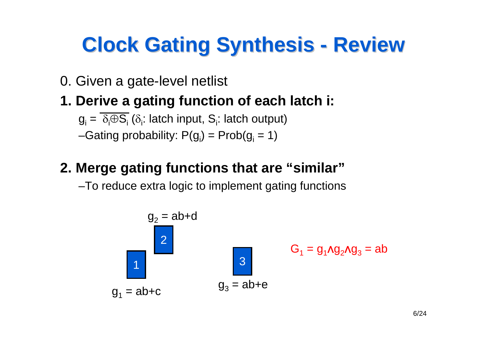#### **Clock Gating Synthesis - Review**

- 0. Given a gate-level netlist
- **1. Derive a gating function of each latch i:**

 $\mathrm{g}_{\mathsf{i}}=\ \delta_{\mathsf{i}}\oplus\mathrm{S}_{\mathsf{i}}$  ( $\delta_{\mathsf{i}}\!\!$ : latch  $\mathrm{output}$ ) –Gating probability: P(g<sub>i</sub>) = Prob(g<sub>i</sub> = 1)

#### **2. Merge gating functions that are "similar"**

–To reduce extra logic to implement gating functions

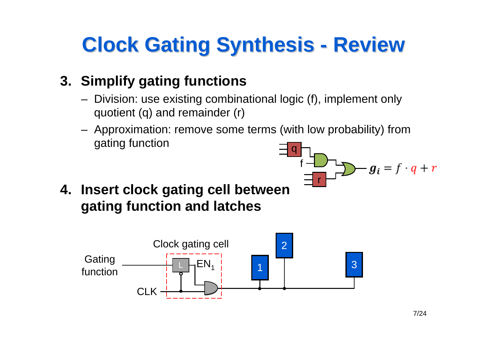#### **Clock Gating Synthesis - Review**

#### **3. Simplify gating functions**

- Division: use existing combinational logic (f), implement only quotient (q) and remainder (r)
- Approximation: remove some terms (with low probability) from gating function q

r

f

**4. Insert clock gating cell between gating function and latches**



 $g_i = f \cdot q + r$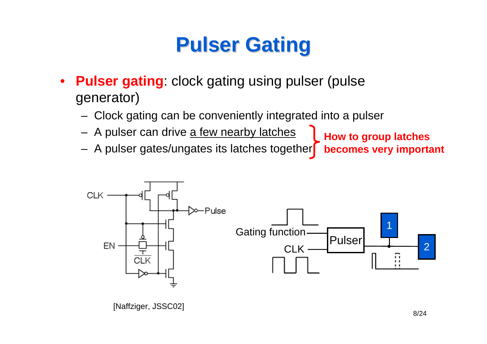# **Pulser Gating Pulser Gating**

- $\bullet$ **Pulser gating:** clock gating using pulser (pulse) generator)
	- Clock gating can be conveniently integrated into a pulser
	- A pulser can drive <u>a few nearby latches</u>
	- A pulser gates/ungates its latches together **becomes very important**

**How to group latches**



[Naffziger, JSSC02] 8/24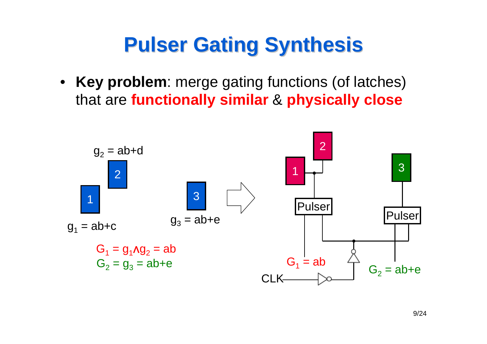# **Pulser Gating Synthesis Pulser Gating Synthesis**

• **Key problem**: merge gating functions (of latches) that are **functionally similar** & **physically close**

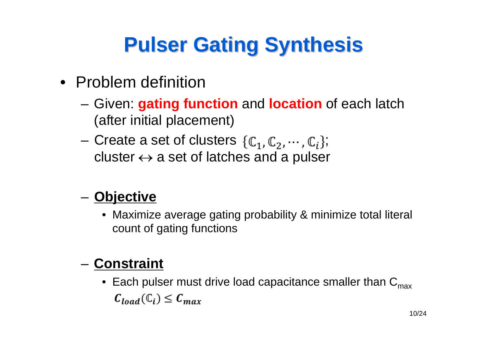# **Pulser Gating Synthesis Pulser Gating Synthesis**

- Problem definition
	- – Given: **gating function** and **location** of each latch (after initial placement)
	- and the state of the Create a set of clusters  $\{\mathbb{C}_1,\mathbb{C}_2,\cdots,\mathbb{C}_i\}$ ; cluster  $\leftrightarrow$  a set of latches and a pulser

#### **Links of the Common Objective**

• Maximize average gating probability & minimize total literal count of gating functions

#### – **Constraint**

 $\bullet~$  Each pulser must drive load capacitance smaller than  $\mathsf{C}_{\mathsf{max}}$  $C_{load}(\mathbb{C}_i) \leq C_{max}$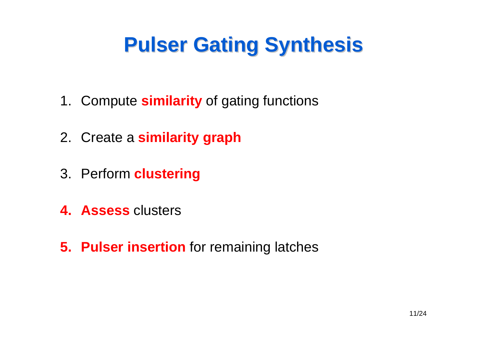# **Pulser Gating Synthesis Pulser Gating Synthesis**

- 1. Compute **similarity** of gating functions
- 2. Create a **similarity graph**
- 3. Perform **clustering**
- **4. Assess** clusters
- **5. Pulser insertion** for remaining latches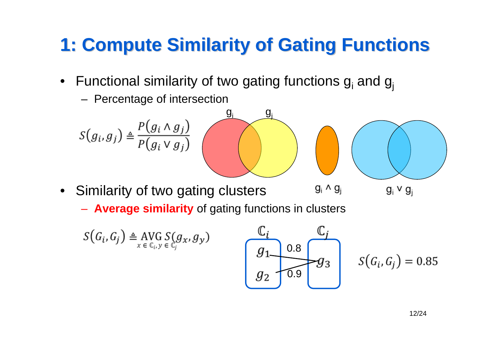#### **1: Compute Similarity of Gating Functions 1: Compute Similarity of Gating Functions**

- $\bullet~$  Functional similarity of two gating functions  $\boldsymbol{\mathsf{g}}_{\mathsf{i}}$  and  $\boldsymbol{\mathsf{g}}_{\mathsf{j}}$ 
	- Percentage of intersection



- • Similarity of two gating clusters
	- **Average similarity** of gating functions in clusters

$$
S(G_i, G_j) \triangleq \text{AVG}_{x \in \mathbb{C}_i, y \in \mathbb{C}_j} S(g_x, g_y)
$$

$$
\begin{array}{c}\nC_i \\
g_1 \\
g_2\n\end{array}\n\qquad\n\begin{array}{c}\nC_j \\
\hline\ng_3 \\
\hline\n\end{array}
$$

 $g_i \vee g_i$ 

 $S(G_i, G_i) = 0.85$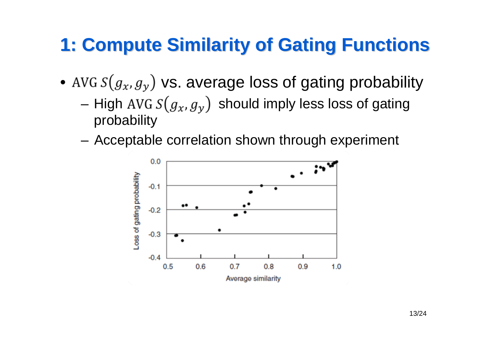#### **1: Compute Similarity of Gating Functions 1: Compute Similarity of Gating Functions**

- AVG  $s(g_x, g_y)$  vs. average loss of gating probability
	- –High AVG  $S(g_x, g_y)$  should imply less loss of gating probability
	- and the state of the Acceptable correlation shown through experiment

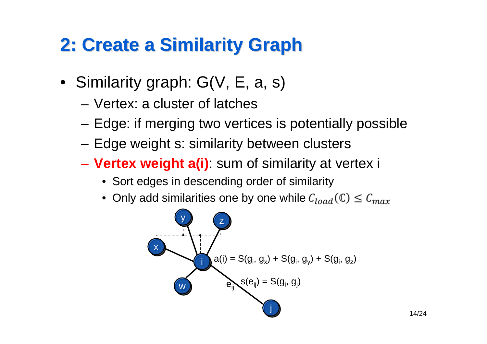#### **2: Create a Similarity Graph 2: Create a Similarity Graph**

- Similarity graph: G(V, E, a, s)
	- Vertex: a cluster of latches
	- –Edge: if merging two vertices is potentially possible
	- –Edge weight s: similarity between clusters
	- **Vertex weight a(i)**: sum of similarity at vertex i
		- Sort edges in descending order of similarity
		- Only add similarities one by one while

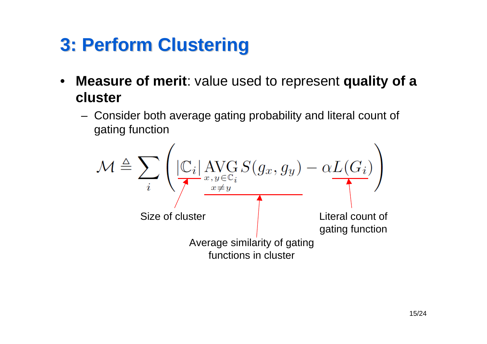#### **3: Perform Clustering 3: Perform Clustering**

- $\bullet$  **Measure of merit**: value used to represent **quality of a cluster**
	- Consider both average gating probability and literal count of gating function

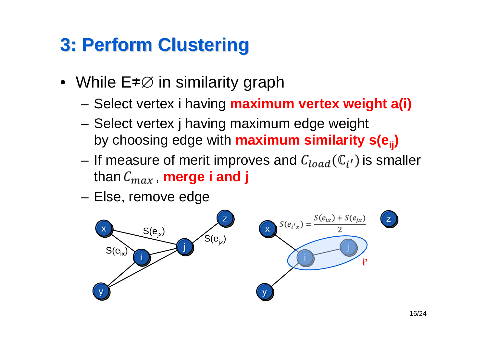#### **3: Perform Clustering 3: Perform Clustering**

- While E≠∅ in similarity graph
	- –Select vertex i having **maximum vertex weight a(i)**
	- – Select vertex j having maximum edge weight by choosing edge with **maximum similarity s(eij )**
	- and the state of the If measure of merit improves and  $C_{load}(\mathbb{C}_{i'})$  is smaller than  $C_{max}$ , **merge i and j**
	- **Links of the Common** Else, remove edge

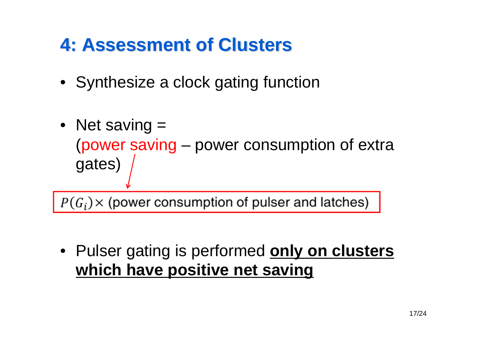#### **4: Assessment of Clusters 4: Assessment of Clusters**

- Synthesize a clock gating function
- Net saving = (power saving – power consumption of extra gates)

 $P(G_i)$  x (power consumption of pulser and latches)

• Pulser gating is performed **only on clusters which have positive net saving**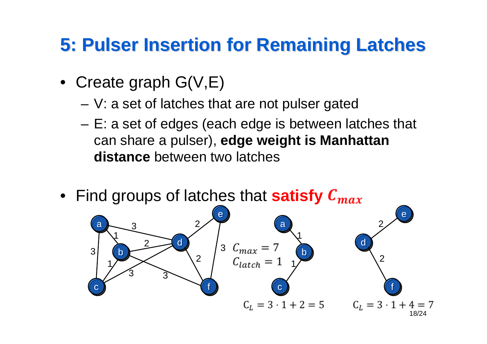#### **5: Pulser Insertion for Remaining Latches 5: Pulser Insertion for Remaining Latches**

- Create graph G(V,E)
	- –V: a set of latches that are not pulser gated
	- – E: a set of edges (each edge is between latches that can share a pulser), **edge weight is Manhattan distance** between two latches
- Find groups of latches that **satisfy**

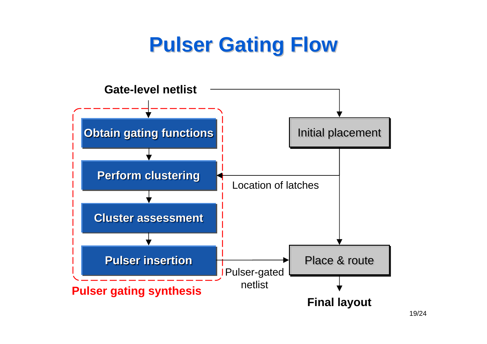# **Pulser Gating Flow Pulser Gating Flow**

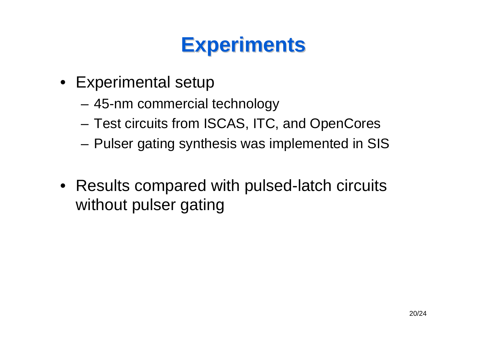- Experimental setup
	- –45-nm commercial technology
	- –Test circuits from ISCAS, ITC, and OpenCores
	- –Pulser gating synthesis was implemented in SIS
- Results compared with pulsed-latch circuits without pulser gating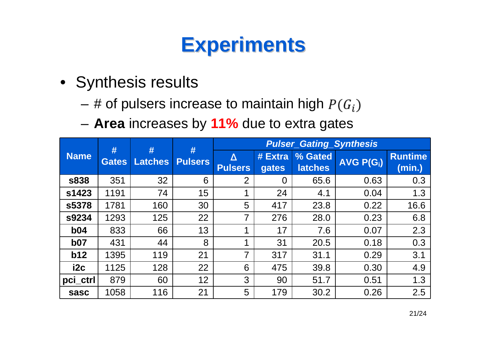- Synthesis results
	- –# of pulsers increase to maintain high
	- –**Area** increases by **11%** due to extra gates

| <b>Name</b>     | #<br><b>Gates</b> | #<br><b>Latches</b> | #<br><b>Pulsers</b> | <b>Pulser_Gating_Synthesis</b> |                  |                           |                             |                          |
|-----------------|-------------------|---------------------|---------------------|--------------------------------|------------------|---------------------------|-----------------------------|--------------------------|
|                 |                   |                     |                     | Δ<br><b>Pulsers</b>            | # Extra<br>gates | % Gated<br><b>latches</b> | <b>AVG P(G<sub>i</sub>)</b> | <b>Runtime</b><br>(min.) |
| <b>s838</b>     | 351               | 32                  | 6                   | 2                              | $\Omega$         | 65.6                      | 0.63                        | 0.3                      |
| s1423           | 1191              | 74                  | 15                  | 1                              | 24               | 4.1                       | 0.04                        | 1.3                      |
| s5378           | 1781              | 160                 | 30                  | 5                              | 417              | 23.8                      | 0.22                        | 16.6                     |
| s9234           | 1293              | 125                 | 22                  | $\overline{7}$                 | 276              | 28.0                      | 0.23                        | 6.8                      |
| b04             | 833               | 66                  | 13                  | 1                              | 17               | 7.6                       | 0.07                        | 2.3                      |
| b07             | 431               | 44                  | 8                   | 1                              | 31               | 20.5                      | 0.18                        | 0.3                      |
| b12             | 1395              | 119                 | 21                  | $\overline{7}$                 | 317              | 31.1                      | 0.29                        | 3.1                      |
| i <sub>2c</sub> | 1125              | 128                 | 22                  | 6                              | 475              | 39.8                      | 0.30                        | 4.9                      |
| pci ctrl        | 879               | 60                  | 12                  | 3                              | 90               | 51.7                      | 0.51                        | 1.3                      |
| sasc            | 1058              | 116                 | 21                  | 5                              | 179              | 30.2                      | 0.26                        | 2.5                      |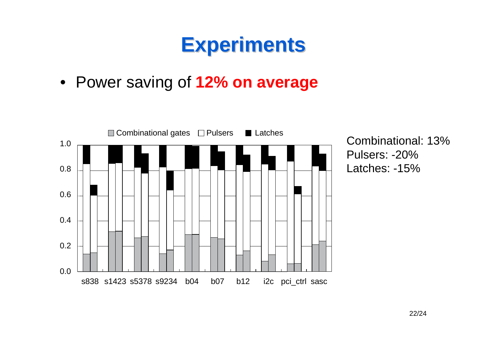• Power saving of **12% on average**



Combinational: 13%Pulsers: -20%Latches: -15%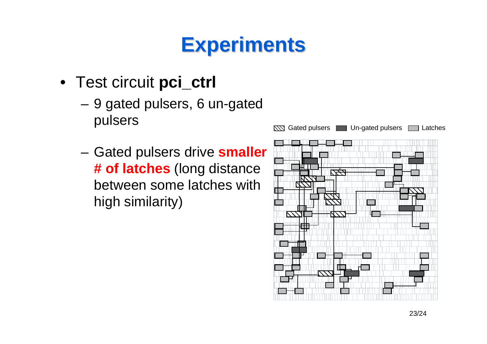- Test circuit **pci\_ctrl**
	- – 9 gated pulsers, 6 un-gated pulsers
	- **Links of the Common**  Gated pulsers drive **smaller # of latches** (long distance between some latches with high similarity)